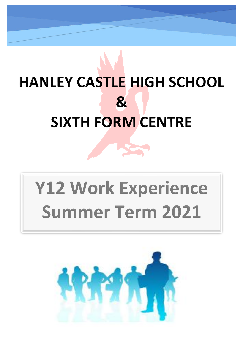# **HANLEY CASTLE HIGH SCHOOL**  $\mathbf{g}$ **SIXTH FORM CENTRE**

# **Y12 Work Experience Summer Term 2021**

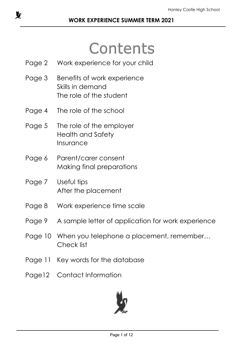# Contents

- Page 2 Work experience for your child
- Page 3 Benefits of work experience Skills in demand The role of the student
- Page 4 The role of the school
- Page 5 The role of the employer Health and Safety Insurance
- Page 6 Parent/carer consent Making final preparations
- Page 7 Useful tips After the placement
- Page 8 Work experience time scale
- Page 9 A sample letter of application for work experience
- Page 10 When you telephone a placement, remember… Check list
- Page 11 Key words for the database
- Page12 Contact Information

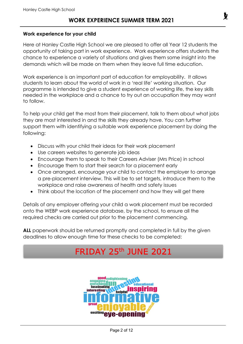#### **Work experience for your child**

Here at Hanley Castle High School we are pleased to offer all Year 12 students the opportunity of taking part in work experience. Work experience offers students the chance to experience a variety of situations and gives them some insight into the demands which will be made on them when they leave full time education.

Work experience is an important part of education for employability. It allows students to learn about the world of work in a 'real life' working situation. Our programme is intended to give a student experience of working life, the key skills needed in the workplace and a chance to try out an occupation they may want to follow.

To help your child get the most from their placement, talk to them about what jobs they are most interested in and the skills they already have. You can further support them with identifying a suitable work experience placement by doing the following:

- Discuss with your child their ideas for their work placement
- Use careers websites to generate job ideas
- Encourage them to speak to their Careers Adviser (Mrs Price) in school
- Encourage them to start their search for a placement early
- Once arranged, encourage your child to contact the employer to arrange a pre-placement interview. This will be to set targets, introduce them to the workplace and raise awareness of health and safety issues
- Think about the location of the placement and how they will get there

Details of any employer offering your child a work placement must be recorded onto the WEBP work experience database, by the school, to ensure all the required checks are carried out prior to the placement commencing.

**ALL** paperwork should be returned promptly and completed in full by the given deadlines to allow enough time for these checks to be completed:

## **FRIDAY 25th JUNE 2021**

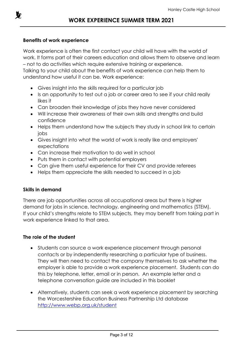

#### **Benefits of work experience**

Work experience is often the first contact your child will have with the world of work. It forms part of their careers education and allows them to observe and learn – not to do activities which require extensive training or experience.

Talking to your child about the benefits of work experience can help them to understand how useful it can be. Work experience:

- Gives insight into the skills required for a particular job
- Is an opportunity to test out a job or career area to see if your child really likes it
- Can broaden their knowledge of jobs they have never considered
- Will increase their awareness of their own skills and strengths and build confidence
- Helps them understand how the subjects they study in school link to certain jobs
- Gives insight into what the world of work is really like and employers' expectations
- Can increase their motivation to do well in school
- Puts them in contact with potential employers
- Can give them useful experience for their CV and provide referees
- Helps them appreciate the skills needed to succeed in a job

#### **Skills in demand**

There are job opportunities across all occupational areas but there is higher demand for jobs in science, technology, engineering and mathematics (STEM). If your child's strengths relate to STEM subjects, they may benefit from taking part in work experience linked to that area.

#### **The role of the student**

- Students can source a work experience placement through personal contacts or by independently researching a particular type of business. They will then need to contact the company themselves to ask whether the employer is able to provide a work experience placement. Students can do this by telephone, letter, email or in person. An example letter and a telephone conversation guide are included in this booklet
- Alternatively, students can seek a work experience placement by searching the Worcestershire Education Business Partnership Ltd database <http://www.webp.org.uk/student>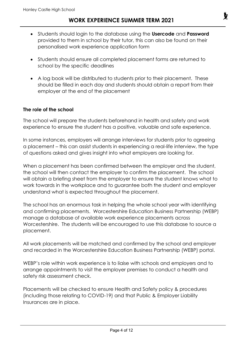- Students should login to the database using the **Usercode** and **Password** provided to them in school by their tutor, this can also be found on their personalised work experience application form
- Students should ensure all completed placement forms are returned to school by the specific deadlines
- A log book will be distributed to students prior to their placement. These should be filled in each day and students should obtain a report from their employer at the end of the placement

#### **The role of the school**

The school will prepare the students beforehand in health and safety and work experience to ensure the student has a positive, valuable and safe experience.

In some instances, employers will arrange interviews for students prior to agreeing a placement – this can assist students in experiencing a real-life interview, the type of questions asked and gives insight into what employers are looking for.

When a placement has been confirmed between the employer and the student, the school will then contact the employer to confirm the placement. The school will obtain a briefing sheet from the employer to ensure the student knows what to work towards in the workplace and to guarantee both the student and employer understand what is expected throughout the placement.

The school has an enormous task in helping the whole school year with identifying and confirming placements. Worcestershire Education Business Partnership (WEBP) manage a database of available work experience placements across Worcestershire. The students will be encouraged to use this database to source a placement.

All work placements will be matched and confirmed by the school and employer and recorded in the Worcestershire Education Business Partnership (WEBP) portal.

WEBP's role within work experience is to liaise with schools and employers and to arrange appointments to visit the employer premises to conduct a health and safety risk assessment check.

Placements will be checked to ensure Health and Safety policy & procedures (including those relating to COVID-19) and that Public & Employer Liability Insurances are in place.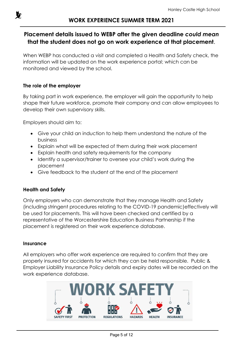

#### **Placement details issued to WEBP after the given deadline** *could mean* **that the student does not go on work experience at that placement**.

When WEBP has conducted a visit and completed a Health and Safety check, the information will be updated on the work experience portal; which can be monitored and viewed by the school.

#### **The role of the employer**

By taking part in work experience, the employer will gain the opportunity to help shape their future workforce, promote their company and can allow employees to develop their own supervisory skills.

Employers should aim to:

- Give your child an induction to help them understand the nature of the business
- Explain what will be expected of them during their work placement
- Explain health and safety requirements for the company
- Identify a supervisor/trainer to oversee your child's work during the placement
- Give feedback to the student at the end of the placement

#### **Health and Safety**

Only employers who can demonstrate that they manage Health and Safety (including stringent procedures relating to the COVID-19 pandemic)effectively will be used for placements. This will have been checked and certified by a representative of the Worcestershire Education Business Partnership if the placement is registered on their work experience database.

#### **Insurance**

All employers who offer work experience are required to confirm that they are properly insured for accidents for which they can be held responsible. Public & Employer Liability Insurance Policy details and expiry dates will be recorded on the work experience database.

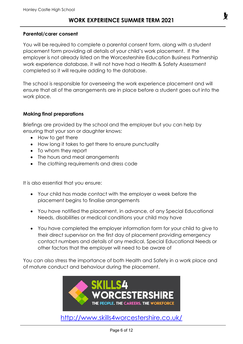#### **Parental/carer consent**

You will be required to complete a parental consent form, along with a student placement form providing all details of your child's work placement. If the employer is not already listed on the Worcestershire Education Business Partnership work experience database, it will not have had a Health & Safety Assessment completed so it will require adding to the database.

The school is responsible for overseeing the work experience placement and will ensure that all of the arrangements are in place before a student goes out into the work place.

#### **Making final preparations**

Briefings are provided by the school and the employer but you can help by ensuring that your son or daughter knows:

- How to get there
- How long it takes to get there to ensure punctuality
- To whom they report
- The hours and meal arrangements
- The clothing requirements and dress code

It is also essential that you ensure:

- Your child has made contact with the employer a week before the placement begins to finalise arrangements
- You have notified the placement, in advance, of any Special Educational Needs, disabilities or medical conditions your child may have
- You have completed the employer information form for your child to give to their direct supervisor on the first day of placement providing emergency contact numbers and details of any medical, Special Educational Needs or other factors that the employer will need to be aware of

You can also stress the importance of both Health and Safety in a work place and of mature conduct and behaviour during the placement.



<http://www.skills4worcestershire.co.uk/>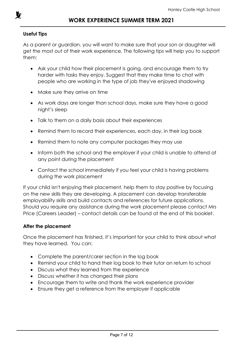

#### **Useful Tips**

As a parent or guardian, you will want to make sure that your son or daughter will get the most out of their work experience. The following tips will help you to support them:

- Ask your child how their placement is going, and encourage them to try harder with tasks they enjoy. Suggest that they make time to chat with people who are working in the type of job they've enjoyed shadowing
- Make sure they arrive on time
- As work days are longer than school days, make sure they have a good night's sleep
- Talk to them on a daily basis about their experiences
- Remind them to record their experiences, each day, in their log book
- Remind them to note any computer packages they may use
- Inform both the school and the employer if your child is unable to attend at any point during the placement
- Contact the school immediately if you feel your child is having problems during the work placement

If your child isn't enjoying their placement, help them to stay positive by focusing on the new skills they are developing. A placement can develop transferable employability skills and build contacts and references for future applications. Should you require any assistance during the work placement please contact Mrs Price (Careers Leader) – contact details can be found at the end of this booklet.

#### **After the placement**

Once the placement has finished, it's important for your child to think about what they have learned. You can:

- Complete the parent/carer section in the log book
- Remind your child to hand their log book to their tutor on return to school
- Discuss what they learned from the experience
- Discuss whether it has changed their plans
- Encourage them to write and thank the work experience provider
- Ensure they get a reference from the employer if applicable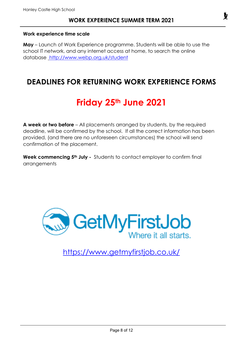#### **Work experience time scale**

**May** – Launch of Work Experience programme. Students will be able to use the school IT network, and any internet access at home, to search the online database <http://www.webp.org.uk/student>

### **DEADLINES FOR RETURNING WORK EXPERIENCE FORMS**

# **Friday 25th June 2021**

**A week or two before** – All placements arranged by students, by the required deadline, will be confirmed by the school. If all the correct information has been provided, (and there are no unforeseen circumstances) the school will send confirmation of the placement.

**Week commencing 5th July -** Students to contact employer to confirm final arrangements



<https://www.getmyfirstjob.co.uk/>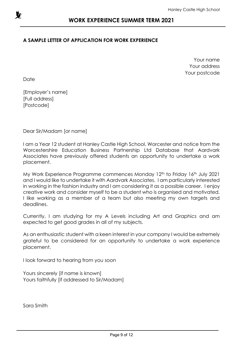

#### **A SAMPLE LETTER OF APPLICATION FOR WORK EXPERIENCE**

Your name Your address Your postcode

Date

[Employer's name] [Full address] [Postcode]

Dear Sir/Madam [or name]

I am a Year 12 student at Hanley Castle High School, Worcester and notice from the Worcestershire Education Business Partnership Ltd Database that Aardvark Associates have previously offered students an opportunity to undertake a work placement.

My Work Experience Programme commences Monday 12th to Friday 16th July 2021 and I would like to undertake it with Aardvark Associates. I am particularly interested in working in the fashion industry and I am considering it as a possible career. I enjoy creative work and consider myself to be a student who is organised and motivated. I like working as a member of a team but also meeting my own targets and deadlines.

Currently, I am studying for my A Levels including Art and Graphics and am expected to get good grades in all of my subjects.

As an enthusiastic student with a keen interest in your company I would be extremely grateful to be considered for an opportunity to undertake a work experience placement.

I look forward to hearing from you soon

Yours sincerely [if name is known] Yours faithfully [if addressed to Sir/Madam]

Sara Smith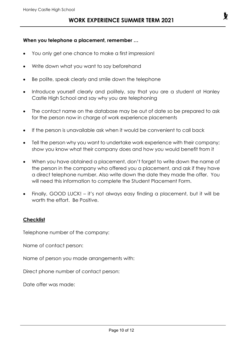#### **When you telephone a placement, remember …**

- You only get one chance to make a first impression!
- Write down what you want to say beforehand
- Be polite, speak clearly and smile down the telephone
- Introduce yourself clearly and politely, say that you are a student at Hanley Castle High School and say why you are telephoning
- The contact name on the database may be out of date so be prepared to ask for the person now in charge of work experience placements
- If the person is unavailable ask when it would be convenient to call back
- Tell the person why you want to undertake work experience with their company; show you know what their company does and how you would benefit from it
- When you have obtained a placement, don't forget to write down the name of the person in the company who offered you a placement, and ask if they have a direct telephone number. Also write down the date they made the offer. You will need this information to complete the Student Placement Form.
- Finally, GOOD LUCK! it's not always easy finding a placement, but it will be worth the effort. Be Positive.

#### **Checklist**

Telephone number of the company:

Name of contact person:

Name of person you made arrangements with:

Direct phone number of contact person:

Date offer was made: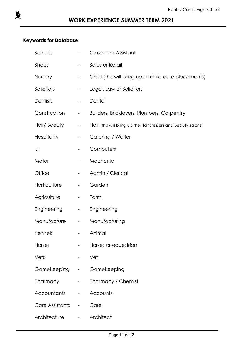

#### **Keywords for Database**

| Schools            |                                               | <b>Classroom Assistant</b>                                   |
|--------------------|-----------------------------------------------|--------------------------------------------------------------|
| Shops              | -                                             | Sales or Retail                                              |
| <b>Nursery</b>     |                                               | Child (this will bring up all child care placements)         |
| Solicitors         | -                                             | Legal, Law or Solicitors                                     |
| Dentists           | -                                             | Dental                                                       |
| Construction       | $\overline{\phantom{a}}$                      | <b>Builders, Bricklayers, Plumbers, Carpentry</b>            |
| Hair/ Beauty       | $\overline{\phantom{a}}$                      | Hair (this will bring up the Hairdressers and Beauty salons) |
| <b>Hospitality</b> | -                                             | Catering / Waiter                                            |
| I.T.               | -                                             | Computers                                                    |
| Motor              | -                                             | Mechanic                                                     |
| Office             | -                                             | Admin / Clerical                                             |
| Horticulture       | $\overline{\phantom{0}}$                      | Garden                                                       |
| Agriculture        | -                                             | Farm                                                         |
| <b>Engineering</b> | -                                             | Engineering                                                  |
| Manufacture        | $\overline{\phantom{a}}$                      | Manufacturing                                                |
| Kennels            |                                               | Animal                                                       |
| <b>Horses</b>      | -                                             | Horses or equestrian                                         |
| Vets               | $\overline{\phantom{a}}$                      | Vet                                                          |
| Gamekeeping -      |                                               | Gamekeeping                                                  |
| Pharmacy           | $\frac{1}{2}$ , $\frac{1}{2}$ , $\frac{1}{2}$ | <b>Pharmacy / Chemist</b>                                    |
| <b>Accountants</b> | $\frac{1}{2}$ and $\frac{1}{2}$               | Accounts                                                     |
| Care Assistants    | $\overline{\phantom{a}}$                      | Care                                                         |
| Architecture       | $\overline{\phantom{a}}$                      | Architect                                                    |